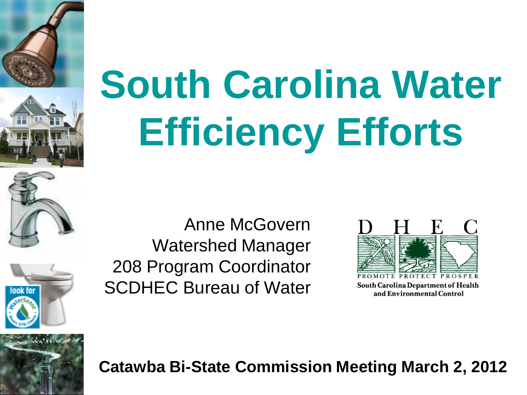



nnk fn

# **South Carolina Water Efficiency Efforts**

Anne McGovern Watershed Manager 208 Program Coordinator SCDHEC Bureau of Water



South Carolina Department of Health and Environmental Control

#### **Catawba Bi-State Commission Meeting March 2, 2012**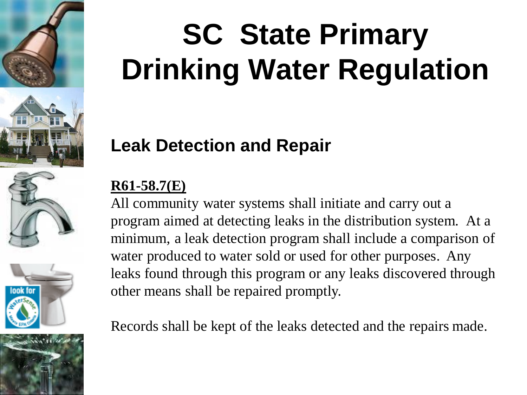







# **SC State Primary Drinking Water Regulation**

### **Leak Detection and Repair**

#### **R61-58.7(E)**

All community water systems shall initiate and carry out a program aimed at detecting leaks in the distribution system. At a minimum, a leak detection program shall include a comparison of water produced to water sold or used for other purposes. Any leaks found through this program or any leaks discovered through other means shall be repaired promptly.

Records shall be kept of the leaks detected and the repairs made.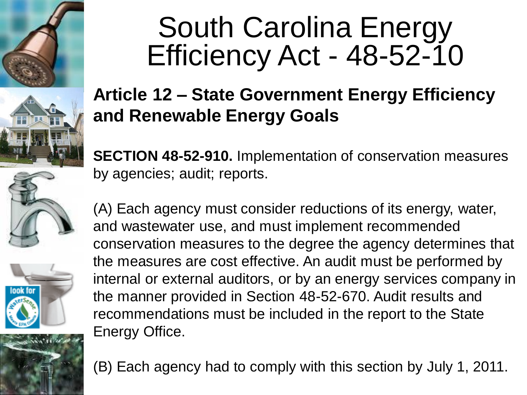



### South Carolina Energy Efficiency Act - 48-52-10

### **Article 12 – State Government Energy Efficiency and Renewable Energy Goals**

**SECTION 48-52-910.** Implementation of conservation measures by agencies; audit; reports.





(A) Each agency must consider reductions of its energy, water, and wastewater use, and must implement recommended conservation measures to the degree the agency determines that the measures are cost effective. An audit must be performed by internal or external auditors, or by an energy services company in the manner provided in Section 48-52-670. Audit results and recommendations must be included in the report to the State Energy Office.

(B) Each agency had to comply with this section by July 1, 2011.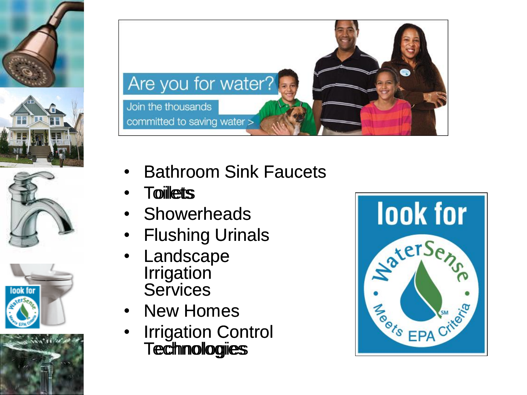











- Bathroom Sink Faucets
- Toilletts
- **Showerheads**
- **Flushing Urinals**
- **Landscape Irrigation Services**
- **New Homes**
- **Irrigation Control Technologies**

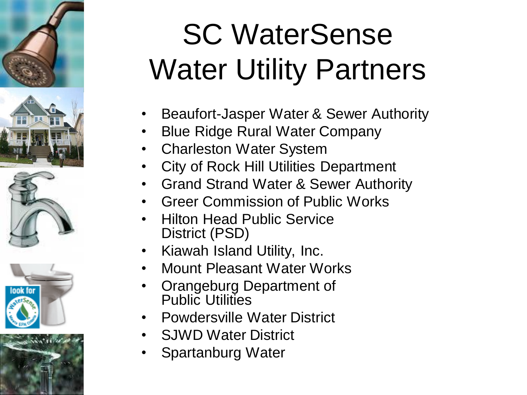### SC WaterSense Water Utility Partners

- Beaufort-Jasper Water & Sewer Authority
- Blue Ridge Rural Water Company
- Charleston Water System
- City of Rock Hill Utilities Department
- Grand Strand Water & Sewer Authority
- Greer Commission of Public Works
- Hilton Head Public Service District (PSD)
- Kiawah Island Utility, Inc.
- Mount Pleasant Water Works
- Orangeburg Department of Public Utilities
- Powdersville Water District
- SJWD Water District
- Spartanburg Water



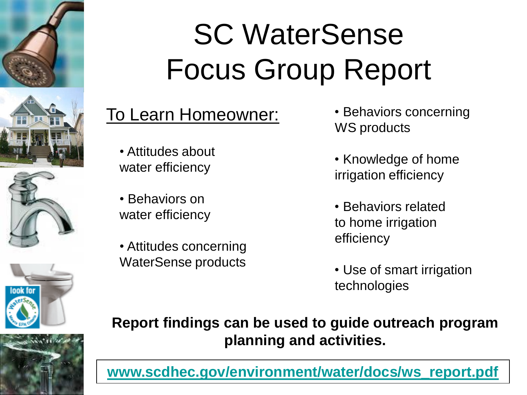









## SC WaterSense Focus Group Report

### To Learn Homeowner: • Behaviors concerning

• Attitudes about water efficiency

• Behaviors on water efficiency

• Attitudes concerning WaterSense products

- WS products
- Knowledge of home irrigation efficiency
- Behaviors related to home irrigation efficiency
- Use of smart irrigation technologies

**Report findings can be used to guide outreach program planning and activities.**

**[www.scdhec.gov/environment/water/docs/ws\\_report.pdf](http://www.scdhec.gov/environment/water/docs/ws_report.pdf)**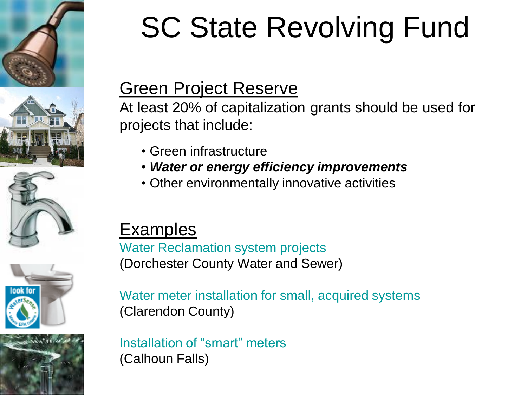









### SC State Revolving Fund

#### Green Project Reserve

At least 20% of capitalization grants should be used for projects that include:

- Green infrastructure
- *Water or energy efficiency improvements*
- Other environmentally innovative activities

### Examples

Water Reclamation system projects (Dorchester County Water and Sewer)

Water meter installation for small, acquired systems (Clarendon County)

Installation of "smart" meters (Calhoun Falls)